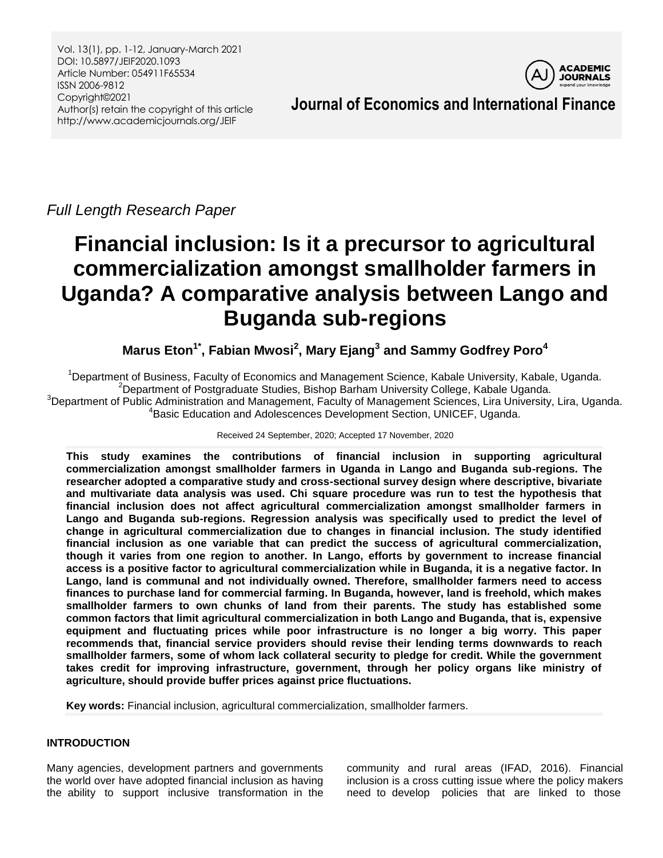Vol. 13(1), pp. 1-12, January-March 2021 DOI: 10.5897/JEIF2020.1093 Article Number: 054911F65534 ISSN 2006-9812 Copyright©2021 Author(s) retain the copyright of this article http://www.academicjournals.org/JEIF



**Journal of Economics and International Finance**

*Full Length Research Paper*

# **Financial inclusion: Is it a precursor to agricultural commercialization amongst smallholder farmers in Uganda? A comparative analysis between Lango and Buganda sub-regions**

**Marus Eton1\* , Fabian Mwosi<sup>2</sup> , Mary Ejang<sup>3</sup> and Sammy Godfrey Poro<sup>4</sup>**

Department of Business, Faculty of Economics and Management Science, Kabale University, Kabale, Uganda. Department of Postgraduate Studies, Bishop Barham University College, Kabale Uganda. Department of Public Administration and Management, Faculty of Management Sciences, Lira University, Lira, Uganda. Basic Education and Adolescences Development Section, UNICEF, Uganda.

Received 24 September, 2020; Accepted 17 November, 2020

**This study examines the contributions of financial inclusion in supporting agricultural commercialization amongst smallholder farmers in Uganda in Lango and Buganda sub-regions. The researcher adopted a comparative study and cross-sectional survey design where descriptive, bivariate and multivariate data analysis was used. Chi square procedure was run to test the hypothesis that financial inclusion does not affect agricultural commercialization amongst smallholder farmers in Lango and Buganda sub-regions. Regression analysis was specifically used to predict the level of change in agricultural commercialization due to changes in financial inclusion. The study identified financial inclusion as one variable that can predict the success of agricultural commercialization, though it varies from one region to another. In Lango, efforts by government to increase financial access is a positive factor to agricultural commercialization while in Buganda, it is a negative factor. In Lango, land is communal and not individually owned. Therefore, smallholder farmers need to access finances to purchase land for commercial farming. In Buganda, however, land is freehold, which makes smallholder farmers to own chunks of land from their parents. The study has established some common factors that limit agricultural commercialization in both Lango and Buganda, that is, expensive equipment and fluctuating prices while poor infrastructure is no longer a big worry. This paper recommends that, financial service providers should revise their lending terms downwards to reach smallholder farmers, some of whom lack collateral security to pledge for credit. While the government takes credit for improving infrastructure, government, through her policy organs like ministry of agriculture, should provide buffer prices against price fluctuations.** 

**Key words:** Financial inclusion, agricultural commercialization, smallholder farmers.

## **INTRODUCTION**

Many agencies, development partners and governments the world over have adopted financial inclusion as having the ability to support inclusive transformation in the

community and rural areas (IFAD, 2016). Financial inclusion is a cross cutting issue where the policy makers need to develop policies that are linked to those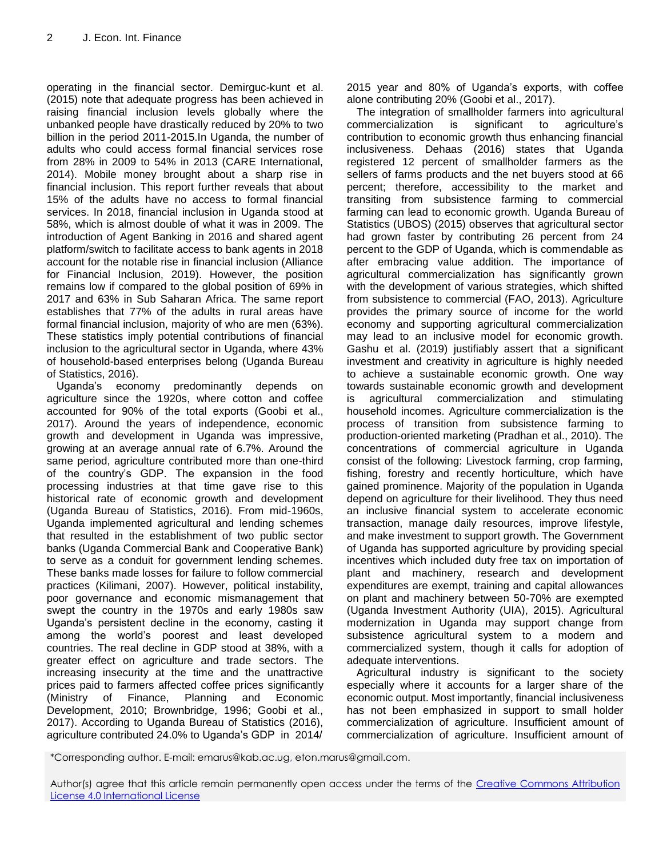operating in the financial sector. Demirguc-kunt et al. (2015) note that adequate progress has been achieved in raising financial inclusion levels globally where the unbanked people have drastically reduced by 20% to two billion in the period 2011-2015.In Uganda, the number of adults who could access formal financial services rose from 28% in 2009 to 54% in 2013 (CARE International, 2014). Mobile money brought about a sharp rise in financial inclusion. This report further reveals that about 15% of the adults have no access to formal financial services. In 2018, financial inclusion in Uganda stood at 58%, which is almost double of what it was in 2009. The introduction of Agent Banking in 2016 and shared agent platform/switch to facilitate access to bank agents in 2018 account for the notable rise in financial inclusion (Alliance for Financial Inclusion, 2019). However, the position remains low if compared to the global position of 69% in 2017 and 63% in Sub Saharan Africa. The same report establishes that 77% of the adults in rural areas have formal financial inclusion, majority of who are men (63%). These statistics imply potential contributions of financial inclusion to the agricultural sector in Uganda, where 43% of household-based enterprises belong (Uganda Bureau of Statistics, 2016).

Uganda"s economy predominantly depends on agriculture since the 1920s, where cotton and coffee accounted for 90% of the total exports (Goobi et al., 2017). Around the years of independence, economic growth and development in Uganda was impressive, growing at an average annual rate of 6.7%. Around the same period, agriculture contributed more than one-third of the country"s GDP. The expansion in the food processing industries at that time gave rise to this historical rate of economic growth and development (Uganda Bureau of Statistics, 2016). From mid-1960s, Uganda implemented agricultural and lending schemes that resulted in the establishment of two public sector banks (Uganda Commercial Bank and Cooperative Bank) to serve as a conduit for government lending schemes. These banks made losses for failure to follow commercial practices (Kilimani, 2007). However, political instability, poor governance and economic mismanagement that swept the country in the 1970s and early 1980s saw Uganda"s persistent decline in the economy, casting it among the world"s poorest and least developed countries. The real decline in GDP stood at 38%, with a greater effect on agriculture and trade sectors. The increasing insecurity at the time and the unattractive prices paid to farmers affected coffee prices significantly (Ministry of Finance, Planning and Economic Development, 2010; Brownbridge, 1996; Goobi et al., 2017). According to Uganda Bureau of Statistics (2016), agriculture contributed 24.0% to Uganda"s GDP in 2014/

2015 year and 80% of Uganda"s exports, with coffee alone contributing 20% (Goobi et al., 2017).

The integration of smallholder farmers into agricultural commercialization is significant to agriculture"s contribution to economic growth thus enhancing financial inclusiveness. Dehaas (2016) states that Uganda registered 12 percent of smallholder farmers as the sellers of farms products and the net buyers stood at 66 percent; therefore, accessibility to the market and transiting from subsistence farming to commercial farming can lead to economic growth. Uganda Bureau of Statistics (UBOS) (2015) observes that agricultural sector had grown faster by contributing 26 percent from 24 percent to the GDP of Uganda, which is commendable as after embracing value addition. The importance of agricultural commercialization has significantly grown with the development of various strategies, which shifted from subsistence to commercial (FAO, 2013). Agriculture provides the primary source of income for the world economy and supporting agricultural commercialization may lead to an inclusive model for economic growth. Gashu et al. (2019) justifiably assert that a significant investment and creativity in agriculture is highly needed to achieve a sustainable economic growth. One way towards sustainable economic growth and development is agricultural commercialization and stimulating household incomes. Agriculture commercialization is the process of transition from subsistence farming to production-oriented marketing (Pradhan et al., 2010). The concentrations of commercial agriculture in Uganda consist of the following: Livestock farming, crop farming, fishing, forestry and recently horticulture, which have gained prominence. Majority of the population in Uganda depend on agriculture for their livelihood. They thus need an inclusive financial system to accelerate economic transaction, manage daily resources, improve lifestyle, and make investment to support growth. The Government of Uganda has supported agriculture by providing special incentives which included duty free tax on importation of plant and machinery, research and development expenditures are exempt, training and capital allowances on plant and machinery between 50-70% are exempted (Uganda Investment Authority (UIA), 2015). Agricultural modernization in Uganda may support change from subsistence agricultural system to a modern and commercialized system, though it calls for adoption of adequate interventions.

Agricultural industry is significant to the society especially where it accounts for a larger share of the economic output. Most importantly, financial inclusiveness has not been emphasized in support to small holder commercialization of agriculture. Insufficient amount of commercialization of agriculture. Insufficient amount of

\*Corresponding author. E-mail: emarus@kab.ac.ug, eton.marus@gmail.com.

Author(s) agree that this article remain permanently open access under the terms of the [Creative Commons Attribution](http://creativecommons.org/licenses/by/4.0/deed.en_US)  [License 4.0 International License](http://creativecommons.org/licenses/by/4.0/deed.en_US)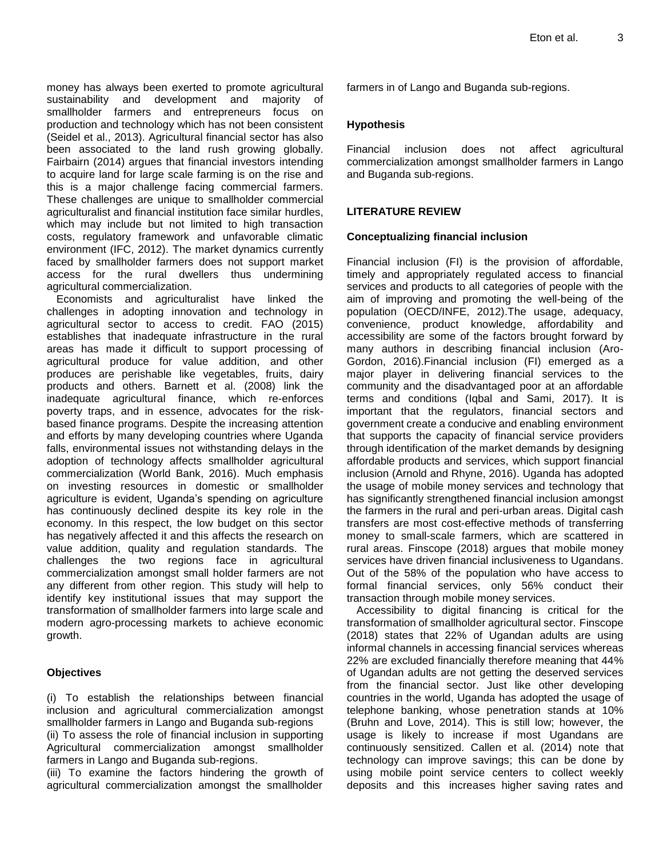money has always been exerted to promote agricultural sustainability and development and majority of smallholder farmers and entrepreneurs focus on production and technology which has not been consistent (Seidel et al., 2013). Agricultural financial sector has also been associated to the land rush growing globally. Fairbairn (2014) argues that financial investors intending to acquire land for large scale farming is on the rise and this is a major challenge facing commercial farmers. These challenges are unique to smallholder commercial agriculturalist and financial institution face similar hurdles, which may include but not limited to high transaction costs, regulatory framework and unfavorable climatic environment (IFC, 2012). The market dynamics currently faced by smallholder farmers does not support market access for the rural dwellers thus undermining agricultural commercialization.

Economists and agriculturalist have linked the challenges in adopting innovation and technology in agricultural sector to access to credit. FAO (2015) establishes that inadequate infrastructure in the rural areas has made it difficult to support processing of agricultural produce for value addition, and other produces are perishable like vegetables, fruits, dairy products and others. Barnett et al. (2008) link the inadequate agricultural finance, which re-enforces poverty traps, and in essence, advocates for the riskbased finance programs. Despite the increasing attention and efforts by many developing countries where Uganda falls, environmental issues not withstanding delays in the adoption of technology affects smallholder agricultural commercialization (World Bank, 2016). Much emphasis on investing resources in domestic or smallholder agriculture is evident, Uganda"s spending on agriculture has continuously declined despite its key role in the economy. In this respect, the low budget on this sector has negatively affected it and this affects the research on value addition, quality and regulation standards. The challenges the two regions face in agricultural commercialization amongst small holder farmers are not any different from other region. This study will help to identify key institutional issues that may support the transformation of smallholder farmers into large scale and modern agro-processing markets to achieve economic growth.

#### **Objectives**

(i) To establish the relationships between financial inclusion and agricultural commercialization amongst smallholder farmers in Lango and Buganda sub-regions

(ii) To assess the role of financial inclusion in supporting Agricultural commercialization amongst smallholder farmers in Lango and Buganda sub-regions.

(iii) To examine the factors hindering the growth of agricultural commercialization amongst the smallholder

farmers in of Lango and Buganda sub-regions.

#### **Hypothesis**

Financial inclusion does not affect agricultural commercialization amongst smallholder farmers in Lango and Buganda sub-regions.

#### **LITERATURE REVIEW**

#### **Conceptualizing financial inclusion**

Financial inclusion (FI) is the provision of affordable, timely and appropriately regulated access to financial services and products to all categories of people with the aim of improving and promoting the well-being of the population (OECD/INFE, 2012).The usage, adequacy, convenience, product knowledge, affordability and accessibility are some of the factors brought forward by many authors in describing financial inclusion (Aro-Gordon, 2016).Financial inclusion (FI) emerged as a major player in delivering financial services to the community and the disadvantaged poor at an affordable terms and conditions (Iqbal and Sami, 2017). It is important that the regulators, financial sectors and government create a conducive and enabling environment that supports the capacity of financial service providers through identification of the market demands by designing affordable products and services, which support financial inclusion (Arnold and Rhyne, 2016). Uganda has adopted the usage of mobile money services and technology that has significantly strengthened financial inclusion amongst the farmers in the rural and peri-urban areas. Digital cash transfers are most cost-effective methods of transferring money to small-scale farmers, which are scattered in rural areas. Finscope (2018) argues that mobile money services have driven financial inclusiveness to Ugandans. Out of the 58% of the population who have access to formal financial services, only 56% conduct their transaction through mobile money services.

Accessibility to digital financing is critical for the transformation of smallholder agricultural sector. Finscope (2018) states that 22% of Ugandan adults are using informal channels in accessing financial services whereas 22% are excluded financially therefore meaning that 44% of Ugandan adults are not getting the deserved services from the financial sector. Just like other developing countries in the world, Uganda has adopted the usage of telephone banking, whose penetration stands at 10% (Bruhn and Love, 2014). This is still low; however, the usage is likely to increase if most Ugandans are continuously sensitized. Callen et al. (2014) note that technology can improve savings; this can be done by using mobile point service centers to collect weekly deposits and this increases higher saving rates and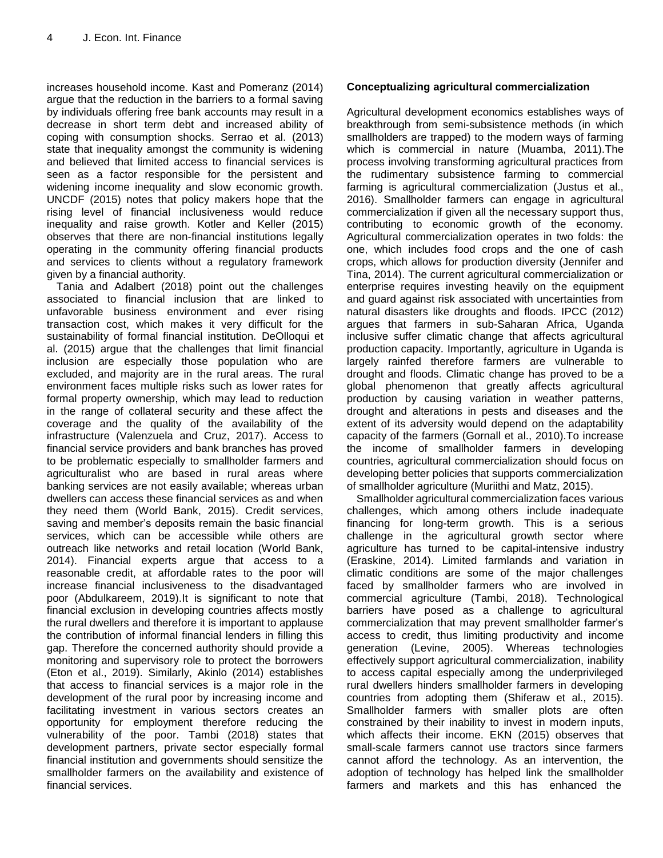increases household income. Kast and Pomeranz (2014) argue that the reduction in the barriers to a formal saving by individuals offering free bank accounts may result in a decrease in short term debt and increased ability of coping with consumption shocks. Serrao et al. (2013) state that inequality amongst the community is widening and believed that limited access to financial services is seen as a factor responsible for the persistent and widening income inequality and slow economic growth. UNCDF (2015) notes that policy makers hope that the rising level of financial inclusiveness would reduce inequality and raise growth. Kotler and Keller (2015) observes that there are non-financial institutions legally operating in the community offering financial products and services to clients without a regulatory framework given by a financial authority.

Tania and Adalbert (2018) point out the challenges associated to financial inclusion that are linked to unfavorable business environment and ever rising transaction cost, which makes it very difficult for the sustainability of formal financial institution. DeOlloqui et al. (2015) argue that the challenges that limit financial inclusion are especially those population who are excluded, and majority are in the rural areas. The rural environment faces multiple risks such as lower rates for formal property ownership, which may lead to reduction in the range of collateral security and these affect the coverage and the quality of the availability of the infrastructure (Valenzuela and Cruz, 2017). Access to financial service providers and bank branches has proved to be problematic especially to smallholder farmers and agriculturalist who are based in rural areas where banking services are not easily available; whereas urban dwellers can access these financial services as and when they need them (World Bank, 2015). Credit services, saving and member's deposits remain the basic financial services, which can be accessible while others are outreach like networks and retail location (World Bank, 2014). Financial experts argue that access to a reasonable credit, at affordable rates to the poor will increase financial inclusiveness to the disadvantaged poor (Abdulkareem, 2019).It is significant to note that financial exclusion in developing countries affects mostly the rural dwellers and therefore it is important to applause the contribution of informal financial lenders in filling this gap. Therefore the concerned authority should provide a monitoring and supervisory role to protect the borrowers (Eton et al., 2019). Similarly, Akinlo (2014) establishes that access to financial services is a major role in the development of the rural poor by increasing income and facilitating investment in various sectors creates an opportunity for employment therefore reducing the vulnerability of the poor. Tambi (2018) states that development partners, private sector especially formal financial institution and governments should sensitize the smallholder farmers on the availability and existence of financial services.

## **Conceptualizing agricultural commercialization**

Agricultural development economics establishes ways of breakthrough from semi-subsistence methods (in which smallholders are trapped) to the modern ways of farming which is commercial in nature (Muamba, 2011).The process involving transforming agricultural practices from the rudimentary subsistence farming to commercial farming is agricultural commercialization (Justus et al., 2016). Smallholder farmers can engage in agricultural commercialization if given all the necessary support thus, contributing to economic growth of the economy. Agricultural commercialization operates in two folds: the one, which includes food crops and the one of cash crops, which allows for production diversity (Jennifer and Tina, 2014). The current agricultural commercialization or enterprise requires investing heavily on the equipment and guard against risk associated with uncertainties from natural disasters like droughts and floods. IPCC (2012) argues that farmers in sub-Saharan Africa, Uganda inclusive suffer climatic change that affects agricultural production capacity. Importantly, agriculture in Uganda is largely rainfed therefore farmers are vulnerable to drought and floods. Climatic change has proved to be a global phenomenon that greatly affects agricultural production by causing variation in weather patterns, drought and alterations in pests and diseases and the extent of its adversity would depend on the adaptability capacity of the farmers (Gornall et al., 2010).To increase the income of smallholder farmers in developing countries, agricultural commercialization should focus on developing better policies that supports commercialization of smallholder agriculture (Muriithi and Matz, 2015).

Smallholder agricultural commercialization faces various challenges, which among others include inadequate financing for long-term growth. This is a serious challenge in the agricultural growth sector where agriculture has turned to be capital-intensive industry (Eraskine, 2014). Limited farmlands and variation in climatic conditions are some of the major challenges faced by smallholder farmers who are involved in commercial agriculture (Tambi, 2018). Technological barriers have posed as a challenge to agricultural commercialization that may prevent smallholder farmer"s access to credit, thus limiting productivity and income generation (Levine, 2005). Whereas technologies effectively support agricultural commercialization, inability to access capital especially among the underprivileged rural dwellers hinders smallholder farmers in developing countries from adopting them (Shiferaw et al., 2015). Smallholder farmers with smaller plots are often constrained by their inability to invest in modern inputs, which affects their income. EKN (2015) observes that small-scale farmers cannot use tractors since farmers cannot afford the technology. As an intervention, the adoption of technology has helped link the smallholder farmers and markets and this has enhanced the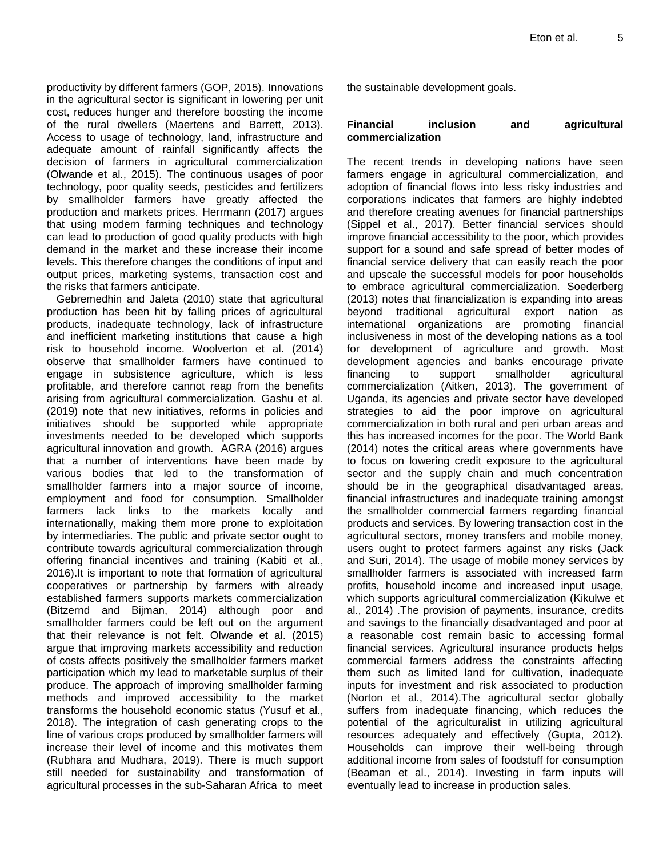productivity by different farmers (GOP, 2015). Innovations in the agricultural sector is significant in lowering per unit cost, reduces hunger and therefore boosting the income of the rural dwellers (Maertens and Barrett, 2013). Access to usage of technology, land, infrastructure and adequate amount of rainfall significantly affects the decision of farmers in agricultural commercialization (Olwande et al., 2015). The continuous usages of poor technology, poor quality seeds, pesticides and fertilizers by smallholder farmers have greatly affected the production and markets prices. Herrmann (2017) argues that using modern farming techniques and technology can lead to production of good quality products with high demand in the market and these increase their income levels. This therefore changes the conditions of input and output prices, marketing systems, transaction cost and the risks that farmers anticipate.

Gebremedhin and Jaleta (2010) state that agricultural production has been hit by falling prices of agricultural products, inadequate technology, lack of infrastructure and inefficient marketing institutions that cause a high risk to household income. Woolverton et al. (2014) observe that smallholder farmers have continued to engage in subsistence agriculture, which is less profitable, and therefore cannot reap from the benefits arising from agricultural commercialization. Gashu et al. (2019) note that new initiatives, reforms in policies and initiatives should be supported while appropriate investments needed to be developed which supports agricultural innovation and growth. AGRA (2016) argues that a number of interventions have been made by various bodies that led to the transformation of smallholder farmers into a major source of income, employment and food for consumption. Smallholder farmers lack links to the markets locally and internationally, making them more prone to exploitation by intermediaries. The public and private sector ought to contribute towards agricultural commercialization through offering financial incentives and training (Kabiti et al., 2016).It is important to note that formation of agricultural cooperatives or partnership by farmers with already established farmers supports markets commercialization (Bitzernd and Bijman, 2014) although poor and smallholder farmers could be left out on the argument that their relevance is not felt. Olwande et al. (2015) argue that improving markets accessibility and reduction of costs affects positively the smallholder farmers market participation which my lead to marketable surplus of their produce. The approach of improving smallholder farming methods and improved accessibility to the market transforms the household economic status (Yusuf et al., 2018). The integration of cash generating crops to the line of various crops produced by smallholder farmers will increase their level of income and this motivates them (Rubhara and Mudhara, 2019). There is much support still needed for sustainability and transformation of agricultural processes in the sub-Saharan Africa to meet

the sustainable development goals.

#### **Financial inclusion and agricultural commercialization**

The recent trends in developing nations have seen farmers engage in agricultural commercialization, and adoption of financial flows into less risky industries and corporations indicates that farmers are highly indebted and therefore creating avenues for financial partnerships (Sippel et al., 2017). Better financial services should improve financial accessibility to the poor, which provides support for a sound and safe spread of better modes of financial service delivery that can easily reach the poor and upscale the successful models for poor households to embrace agricultural commercialization. Soederberg (2013) notes that financialization is expanding into areas beyond traditional agricultural export nation as international organizations are promoting financial inclusiveness in most of the developing nations as a tool for development of agriculture and growth. Most development agencies and banks encourage private financing to support smallholder agricultural commercialization (Aitken, 2013). The government of Uganda, its agencies and private sector have developed strategies to aid the poor improve on agricultural commercialization in both rural and peri urban areas and this has increased incomes for the poor. The World Bank (2014) notes the critical areas where governments have to focus on lowering credit exposure to the agricultural sector and the supply chain and much concentration should be in the geographical disadvantaged areas, financial infrastructures and inadequate training amongst the smallholder commercial farmers regarding financial products and services. By lowering transaction cost in the agricultural sectors, money transfers and mobile money, users ought to protect farmers against any risks (Jack and Suri, 2014). The usage of mobile money services by smallholder farmers is associated with increased farm profits, household income and increased input usage, which supports agricultural commercialization (Kikulwe et al., 2014) .The provision of payments, insurance, credits and savings to the financially disadvantaged and poor at a reasonable cost remain basic to accessing formal financial services. Agricultural insurance products helps commercial farmers address the constraints affecting them such as limited land for cultivation, inadequate inputs for investment and risk associated to production (Norton et al., 2014).The agricultural sector globally suffers from inadequate financing, which reduces the potential of the agriculturalist in utilizing agricultural resources adequately and effectively (Gupta, 2012). Households can improve their well-being through additional income from sales of foodstuff for consumption (Beaman et al., 2014). Investing in farm inputs will eventually lead to increase in production sales.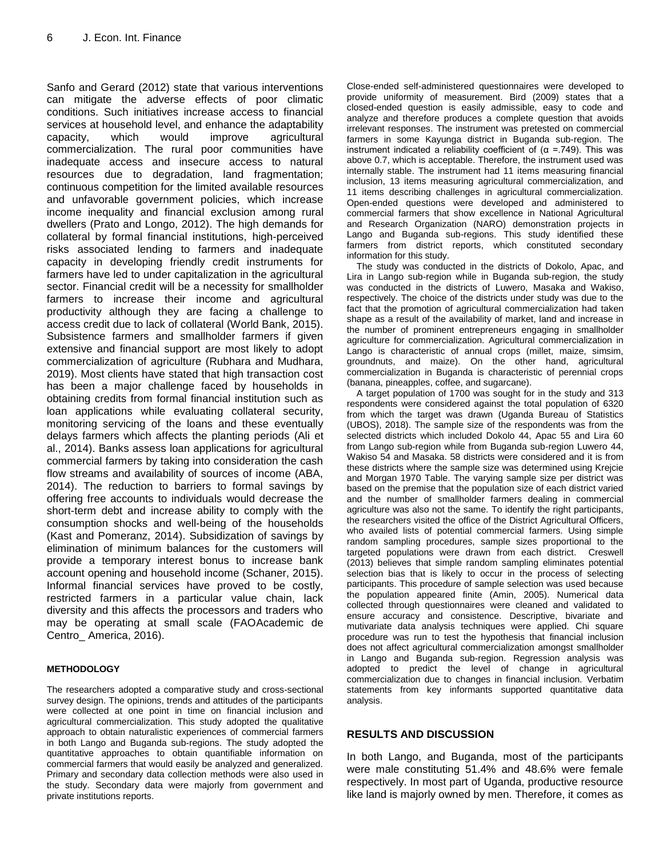Sanfo and Gerard (2012) state that various interventions can mitigate the adverse effects of poor climatic conditions. Such initiatives increase access to financial services at household level, and enhance the adaptability capacity, which would improve agricultural commercialization. The rural poor communities have inadequate access and insecure access to natural resources due to degradation, land fragmentation; continuous competition for the limited available resources and unfavorable government policies, which increase income inequality and financial exclusion among rural dwellers (Prato and Longo, 2012). The high demands for collateral by formal financial institutions, high-perceived risks associated lending to farmers and inadequate capacity in developing friendly credit instruments for farmers have led to under capitalization in the agricultural sector. Financial credit will be a necessity for smallholder farmers to increase their income and agricultural productivity although they are facing a challenge to access credit due to lack of collateral (World Bank, 2015). Subsistence farmers and smallholder farmers if given extensive and financial support are most likely to adopt commercialization of agriculture (Rubhara and Mudhara, 2019). Most clients have stated that high transaction cost has been a major challenge faced by households in obtaining credits from formal financial institution such as loan applications while evaluating collateral security, monitoring servicing of the loans and these eventually delays farmers which affects the planting periods (Ali et al., 2014). Banks assess loan applications for agricultural commercial farmers by taking into consideration the cash flow streams and availability of sources of income (ABA, 2014). The reduction to barriers to formal savings by offering free accounts to individuals would decrease the short-term debt and increase ability to comply with the consumption shocks and well-being of the households (Kast and Pomeranz, 2014). Subsidization of savings by elimination of minimum balances for the customers will provide a temporary interest bonus to increase bank account opening and household income (Schaner, 2015). Informal financial services have proved to be costly, restricted farmers in a particular value chain, lack diversity and this affects the processors and traders who may be operating at small scale (FAOAcademic de Centro\_ America, 2016).

#### **METHODOLOGY**

The researchers adopted a comparative study and cross-sectional survey design. The opinions, trends and attitudes of the participants were collected at one point in time on financial inclusion and agricultural commercialization. This study adopted the qualitative approach to obtain naturalistic experiences of commercial farmers in both Lango and Buganda sub-regions. The study adopted the quantitative approaches to obtain quantifiable information on commercial farmers that would easily be analyzed and generalized. Primary and secondary data collection methods were also used in the study. Secondary data were majorly from government and private institutions reports.

Close-ended self-administered questionnaires were developed to provide uniformity of measurement. Bird (2009) states that a closed-ended question is easily admissible, easy to code and analyze and therefore produces a complete question that avoids irrelevant responses. The instrument was pretested on commercial farmers in some Kayunga district in Buganda sub-region. The instrument indicated a reliability coefficient of ( $α = .749$ ). This was above 0.7, which is acceptable. Therefore, the instrument used was internally stable. The instrument had 11 items measuring financial inclusion, 13 items measuring agricultural commercialization, and 11 items describing challenges in agricultural commercialization. Open-ended questions were developed and administered to commercial farmers that show excellence in National Agricultural and Research Organization (NARO) demonstration projects in Lango and Buganda sub-regions. This study identified these farmers from district reports, which constituted secondary information for this study.

The study was conducted in the districts of Dokolo, Apac, and Lira in Lango sub-region while in Buganda sub-region, the study was conducted in the districts of Luwero, Masaka and Wakiso, respectively. The choice of the districts under study was due to the fact that the promotion of agricultural commercialization had taken shape as a result of the availability of market, land and increase in the number of prominent entrepreneurs engaging in smallholder agriculture for commercialization. Agricultural commercialization in Lango is characteristic of annual crops (millet, maize, simsim, groundnuts, and maize). On the other hand, agricultural commercialization in Buganda is characteristic of perennial crops (banana, pineapples, coffee, and sugarcane).

A target population of 1700 was sought for in the study and 313 respondents were considered against the total population of 6320 from which the target was drawn (Uganda Bureau of Statistics (UBOS), 2018). The sample size of the respondents was from the selected districts which included Dokolo 44, Apac 55 and Lira 60 from Lango sub-region while from Buganda sub-region Luwero 44, Wakiso 54 and Masaka. 58 districts were considered and it is from these districts where the sample size was determined using Krejcie and Morgan 1970 Table. The varying sample size per district was based on the premise that the population size of each district varied and the number of smallholder farmers dealing in commercial agriculture was also not the same. To identify the right participants, the researchers visited the office of the District Agricultural Officers, who availed lists of potential commercial farmers. Using simple random sampling procedures, sample sizes proportional to the targeted populations were drawn from each district. Creswell (2013) believes that simple random sampling eliminates potential selection bias that is likely to occur in the process of selecting participants. This procedure of sample selection was used because the population appeared finite (Amin, 2005). Numerical data collected through questionnaires were cleaned and validated to ensure accuracy and consistence. Descriptive, bivariate and mutivariate data analysis techniques were applied. Chi square procedure was run to test the hypothesis that financial inclusion does not affect agricultural commercialization amongst smallholder in Lango and Buganda sub-region. Regression analysis was adopted to predict the level of change in agricultural commercialization due to changes in financial inclusion. Verbatim statements from key informants supported quantitative data analysis.

#### **RESULTS AND DISCUSSION**

In both Lango, and Buganda, most of the participants were male constituting 51.4% and 48.6% were female respectively. In most part of Uganda, productive resource like land is majorly owned by men. Therefore, it comes as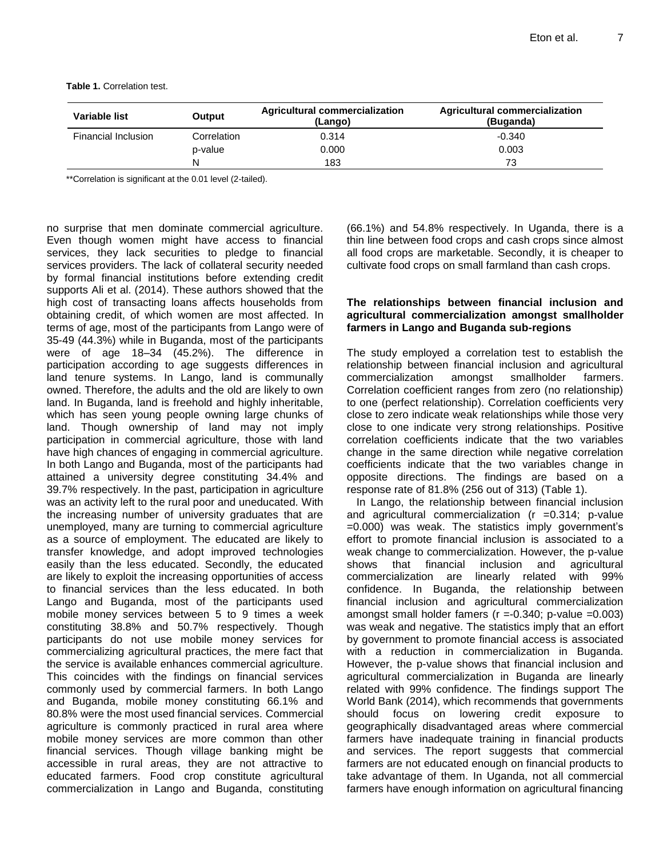**Table 1.** Correlation test.

| Variable list       | Output      | Agricultural commercialization<br>(Lango) | Agricultural commercialization<br>(Buganda) |
|---------------------|-------------|-------------------------------------------|---------------------------------------------|
| Financial Inclusion | Correlation | 0.314                                     | $-0.340$                                    |
|                     | p-value     | 0.000                                     | 0.003                                       |
|                     | N           | 183                                       | 73                                          |

\*\*Correlation is significant at the 0.01 level (2-tailed).

no surprise that men dominate commercial agriculture. Even though women might have access to financial services, they lack securities to pledge to financial services providers. The lack of collateral security needed by formal financial institutions before extending credit supports Ali et al. (2014). These authors showed that the high cost of transacting loans affects households from obtaining credit, of which women are most affected. In terms of age, most of the participants from Lango were of 35-49 (44.3%) while in Buganda, most of the participants were of age 18–34 (45.2%). The difference in participation according to age suggests differences in land tenure systems. In Lango, land is communally owned. Therefore, the adults and the old are likely to own land. In Buganda, land is freehold and highly inheritable, which has seen young people owning large chunks of land. Though ownership of land may not imply participation in commercial agriculture, those with land have high chances of engaging in commercial agriculture. In both Lango and Buganda, most of the participants had attained a university degree constituting 34.4% and 39.7% respectively. In the past, participation in agriculture was an activity left to the rural poor and uneducated. With the increasing number of university graduates that are unemployed, many are turning to commercial agriculture as a source of employment. The educated are likely to transfer knowledge, and adopt improved technologies easily than the less educated. Secondly, the educated are likely to exploit the increasing opportunities of access to financial services than the less educated. In both Lango and Buganda, most of the participants used mobile money services between 5 to 9 times a week constituting 38.8% and 50.7% respectively. Though participants do not use mobile money services for commercializing agricultural practices, the mere fact that the service is available enhances commercial agriculture. This coincides with the findings on financial services commonly used by commercial farmers. In both Lango and Buganda, mobile money constituting 66.1% and 80.8% were the most used financial services. Commercial agriculture is commonly practiced in rural area where mobile money services are more common than other financial services. Though village banking might be accessible in rural areas, they are not attractive to educated farmers. Food crop constitute agricultural commercialization in Lango and Buganda, constituting (66.1%) and 54.8% respectively. In Uganda, there is a thin line between food crops and cash crops since almost all food crops are marketable. Secondly, it is cheaper to cultivate food crops on small farmland than cash crops.

#### **The relationships between financial inclusion and agricultural commercialization amongst smallholder farmers in Lango and Buganda sub-regions**

The study employed a correlation test to establish the relationship between financial inclusion and agricultural commercialization amongst smallholder farmers. Correlation coefficient ranges from zero (no relationship) to one (perfect relationship). Correlation coefficients very close to zero indicate weak relationships while those very close to one indicate very strong relationships. Positive correlation coefficients indicate that the two variables change in the same direction while negative correlation coefficients indicate that the two variables change in opposite directions. The findings are based on a response rate of 81.8% (256 out of 313) (Table 1).

In Lango, the relationship between financial inclusion and agricultural commercialization  $(r = 0.314; p-value)$ =0.000) was weak. The statistics imply government"s effort to promote financial inclusion is associated to a weak change to commercialization. However, the p-value shows that financial inclusion and agricultural commercialization are linearly related with 99% confidence. In Buganda, the relationship between financial inclusion and agricultural commercialization amongst small holder famers ( $r = -0.340$ ; p-value =0.003) was weak and negative. The statistics imply that an effort by government to promote financial access is associated with a reduction in commercialization in Buganda. However, the p-value shows that financial inclusion and agricultural commercialization in Buganda are linearly related with 99% confidence. The findings support The World Bank (2014), which recommends that governments should focus on lowering credit exposure to geographically disadvantaged areas where commercial farmers have inadequate training in financial products and services. The report suggests that commercial farmers are not educated enough on financial products to take advantage of them. In Uganda, not all commercial farmers have enough information on agricultural financing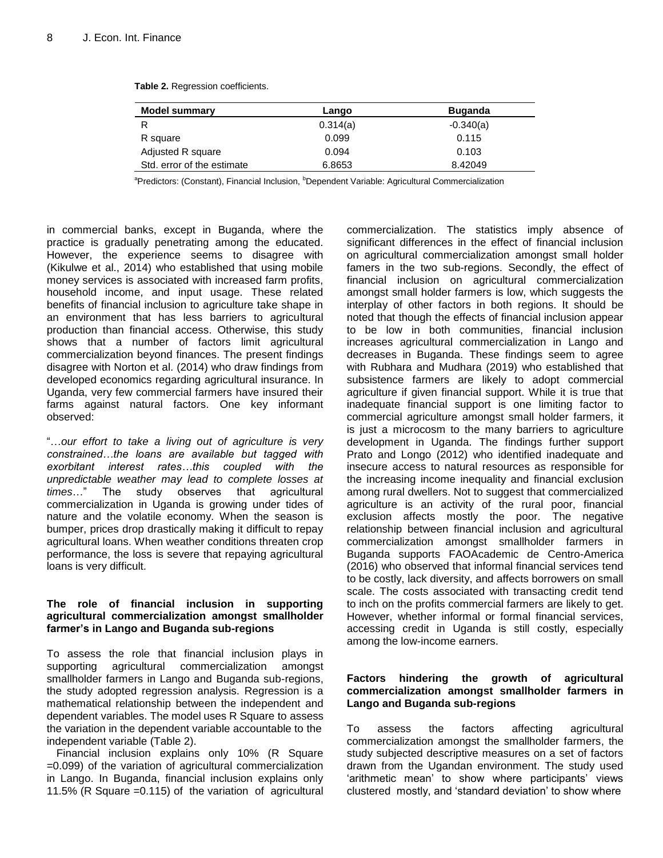| <b>Model summary</b>       | Lango    | <b>Buganda</b> |
|----------------------------|----------|----------------|
| R                          | 0.314(a) | $-0.340(a)$    |
| R square                   | 0.099    | 0.115          |
| Adjusted R square          | 0.094    | 0.103          |
| Std. error of the estimate | 6.8653   | 8.42049        |

**Table 2.** Regression coefficients.

<sup>a</sup>Predictors: (Constant), Financial Inclusion, <sup>b</sup>Dependent Variable: Agricultural Commercialization

in commercial banks, except in Buganda, where the practice is gradually penetrating among the educated. However, the experience seems to disagree with (Kikulwe et al., 2014) who established that using mobile money services is associated with increased farm profits, household income, and input usage. These related benefits of financial inclusion to agriculture take shape in an environment that has less barriers to agricultural production than financial access. Otherwise, this study shows that a number of factors limit agricultural commercialization beyond finances. The present findings disagree with Norton et al. (2014) who draw findings from developed economics regarding agricultural insurance. In Uganda, very few commercial farmers have insured their farms against natural factors. One key informant observed:

"…*our effort to take a living out of agriculture is very constrained…the loans are available but tagged with exorbitant interest rates…this coupled with the unpredictable weather may lead to complete losses at times*…" The study observes that agricultural commercialization in Uganda is growing under tides of nature and the volatile economy. When the season is bumper, prices drop drastically making it difficult to repay agricultural loans. When weather conditions threaten crop performance, the loss is severe that repaying agricultural loans is very difficult.

#### **The role of financial inclusion in supporting agricultural commercialization amongst smallholder farmer's in Lango and Buganda sub-regions**

To assess the role that financial inclusion plays in supporting agricultural commercialization amongst smallholder farmers in Lango and Buganda sub-regions, the study adopted regression analysis. Regression is a mathematical relationship between the independent and dependent variables. The model uses R Square to assess the variation in the dependent variable accountable to the independent variable (Table 2).

Financial inclusion explains only 10% (R Square =0.099) of the variation of agricultural commercialization in Lango. In Buganda, financial inclusion explains only 11.5% (R Square =0.115) of the variation of agricultural commercialization. The statistics imply absence of significant differences in the effect of financial inclusion on agricultural commercialization amongst small holder famers in the two sub-regions. Secondly, the effect of financial inclusion on agricultural commercialization amongst small holder farmers is low, which suggests the interplay of other factors in both regions. It should be noted that though the effects of financial inclusion appear to be low in both communities, financial inclusion increases agricultural commercialization in Lango and decreases in Buganda. These findings seem to agree with Rubhara and Mudhara (2019) who established that subsistence farmers are likely to adopt commercial agriculture if given financial support. While it is true that inadequate financial support is one limiting factor to commercial agriculture amongst small holder farmers, it is just a microcosm to the many barriers to agriculture development in Uganda. The findings further support Prato and Longo (2012) who identified inadequate and insecure access to natural resources as responsible for the increasing income inequality and financial exclusion among rural dwellers. Not to suggest that commercialized agriculture is an activity of the rural poor, financial exclusion affects mostly the poor. The negative relationship between financial inclusion and agricultural commercialization amongst smallholder farmers in Buganda supports FAOAcademic de Centro-America (2016) who observed that informal financial services tend to be costly, lack diversity, and affects borrowers on small scale. The costs associated with transacting credit tend to inch on the profits commercial farmers are likely to get. However, whether informal or formal financial services, accessing credit in Uganda is still costly, especially among the low-income earners.

## **Factors hindering the growth of agricultural commercialization amongst smallholder farmers in Lango and Buganda sub-regions**

To assess the factors affecting agricultural commercialization amongst the smallholder farmers, the study subjected descriptive measures on a set of factors drawn from the Ugandan environment. The study used 'arithmetic mean' to show where participants' views clustered mostly, and "standard deviation" to show where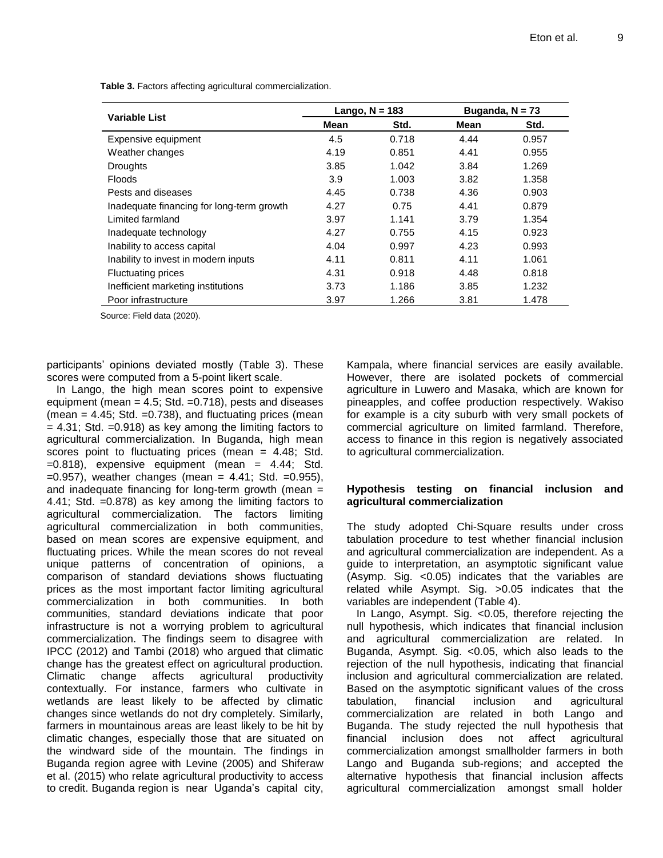|                                           | Lango, $N = 183$ |       | Buganda, $N = 73$ |       |
|-------------------------------------------|------------------|-------|-------------------|-------|
| <b>Variable List</b>                      | Mean             | Std.  | Mean              | Std.  |
| Expensive equipment                       | 4.5              | 0.718 | 4.44              | 0.957 |
| Weather changes                           | 4.19             | 0.851 | 4.41              | 0.955 |
| <b>Droughts</b>                           | 3.85             | 1.042 | 3.84              | 1.269 |
| <b>Floods</b>                             | 3.9              | 1.003 | 3.82              | 1.358 |
| Pests and diseases                        | 4.45             | 0.738 | 4.36              | 0.903 |
| Inadequate financing for long-term growth | 4.27             | 0.75  | 4.41              | 0.879 |
| Limited farmland                          | 3.97             | 1.141 | 3.79              | 1.354 |
| Inadequate technology                     | 4.27             | 0.755 | 4.15              | 0.923 |
| Inability to access capital               | 4.04             | 0.997 | 4.23              | 0.993 |
| Inability to invest in modern inputs      | 4.11             | 0.811 | 4.11              | 1.061 |
| <b>Fluctuating prices</b>                 | 4.31             | 0.918 | 4.48              | 0.818 |
| Inefficient marketing institutions        | 3.73             | 1.186 | 3.85              | 1.232 |
| Poor infrastructure                       | 3.97             | 1.266 | 3.81              | 1.478 |

**Table 3.** Factors affecting agricultural commercialization.

Source: Field data (2020).

participants" opinions deviated mostly (Table 3). These scores were computed from a 5-point likert scale.

In Lango, the high mean scores point to expensive equipment (mean  $= 4.5$ ; Std.  $= 0.718$ ), pests and diseases (mean  $= 4.45$ ; Std.  $= 0.738$ ), and fluctuating prices (mean  $= 4.31$ ; Std.  $= 0.918$ ) as key among the limiting factors to agricultural commercialization. In Buganda, high mean scores point to fluctuating prices (mean = 4.48; Std.  $=0.818$ ), expensive equipment (mean = 4.44; Std.  $=0.957$ ), weather changes (mean  $= 4.41$ ; Std.  $=0.955$ ), and inadequate financing for long-term growth (mean = 4.41; Std. =0.878) as key among the limiting factors to agricultural commercialization. The factors limiting agricultural commercialization in both communities, based on mean scores are expensive equipment, and fluctuating prices. While the mean scores do not reveal unique patterns of concentration of opinions, a comparison of standard deviations shows fluctuating prices as the most important factor limiting agricultural commercialization in both communities. In both communities, standard deviations indicate that poor infrastructure is not a worrying problem to agricultural commercialization. The findings seem to disagree with IPCC (2012) and Tambi (2018) who argued that climatic change has the greatest effect on agricultural production. Climatic change affects agricultural productivity contextually. For instance, farmers who cultivate in wetlands are least likely to be affected by climatic changes since wetlands do not dry completely. Similarly, farmers in mountainous areas are least likely to be hit by climatic changes, especially those that are situated on the windward side of the mountain. The findings in Buganda region agree with Levine (2005) and Shiferaw et al. (2015) who relate agricultural productivity to access to credit. Buganda region is near Uganda"s capital city,

Kampala, where financial services are easily available. However, there are isolated pockets of commercial agriculture in Luwero and Masaka, which are known for pineapples, and coffee production respectively. Wakiso for example is a city suburb with very small pockets of commercial agriculture on limited farmland. Therefore, access to finance in this region is negatively associated to agricultural commercialization.

#### **Hypothesis testing on financial inclusion and agricultural commercialization**

The study adopted Chi-Square results under cross tabulation procedure to test whether financial inclusion and agricultural commercialization are independent. As a guide to interpretation, an asymptotic significant value (Asymp. Sig. <0.05) indicates that the variables are related while Asympt. Sig. >0.05 indicates that the variables are independent (Table 4).

In Lango, Asympt. Sig. < 0.05, therefore rejecting the null hypothesis, which indicates that financial inclusion and agricultural commercialization are related. In Buganda, Asympt. Sig.  $< 0.05$ , which also leads to the rejection of the null hypothesis, indicating that financial inclusion and agricultural commercialization are related. Based on the asymptotic significant values of the cross tabulation, financial inclusion and agricultural commercialization are related in both Lango and Buganda. The study rejected the null hypothesis that financial inclusion does not affect agricultural commercialization amongst smallholder farmers in both Lango and Buganda sub-regions; and accepted the alternative hypothesis that financial inclusion affects agricultural commercialization amongst small holder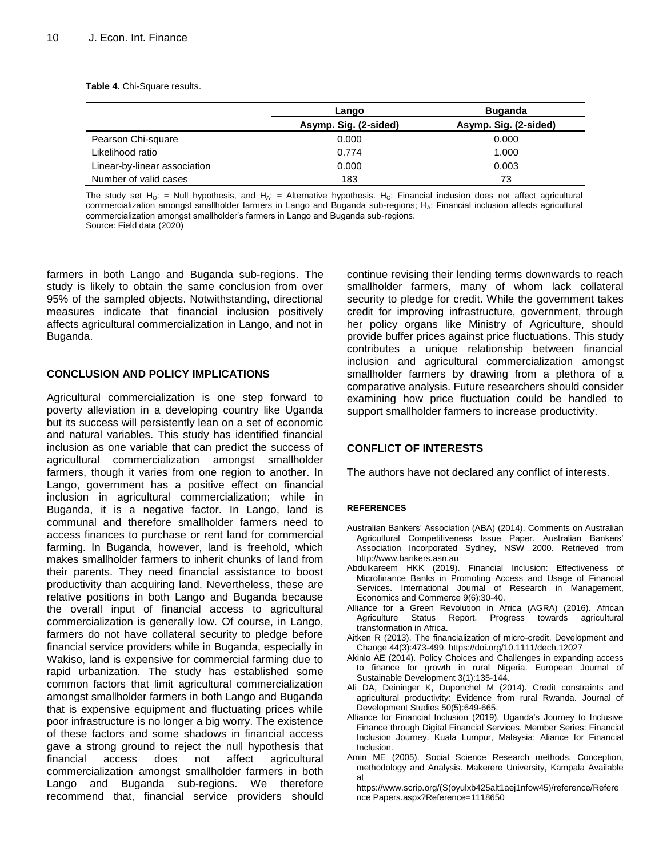**Table 4.** Chi-Square results.

|                              | Lango                 | <b>Buganda</b>        |  |
|------------------------------|-----------------------|-----------------------|--|
|                              | Asymp. Sig. (2-sided) | Asymp. Sig. (2-sided) |  |
| Pearson Chi-square           | 0.000                 | 0.000                 |  |
| Likelihood ratio             | 0.774                 | 1.000                 |  |
| Linear-by-linear association | 0.000                 | 0.003                 |  |
| Number of valid cases        | 183                   | 73                    |  |

The study set H<sub>O</sub>: = Null hypothesis, and H<sub>A</sub>: = Alternative hypothesis. H<sub>O</sub>: Financial inclusion does not affect agricultural commercialization amongst smallholder farmers in Lango and Buganda sub-regions; HA: Financial inclusion affects agricultural commercialization amongst smallholder"s farmers in Lango and Buganda sub-regions. Source: Field data (2020)

farmers in both Lango and Buganda sub-regions. The study is likely to obtain the same conclusion from over 95% of the sampled objects. Notwithstanding, directional measures indicate that financial inclusion positively affects agricultural commercialization in Lango, and not in Buganda.

#### **CONCLUSION AND POLICY IMPLICATIONS**

Agricultural commercialization is one step forward to poverty alleviation in a developing country like Uganda but its success will persistently lean on a set of economic and natural variables. This study has identified financial inclusion as one variable that can predict the success of agricultural commercialization amongst smallholder farmers, though it varies from one region to another. In Lango, government has a positive effect on financial inclusion in agricultural commercialization; while in Buganda, it is a negative factor. In Lango, land is communal and therefore smallholder farmers need to access finances to purchase or rent land for commercial farming. In Buganda, however, land is freehold, which makes smallholder farmers to inherit chunks of land from their parents. They need financial assistance to boost productivity than acquiring land. Nevertheless, these are relative positions in both Lango and Buganda because the overall input of financial access to agricultural commercialization is generally low. Of course, in Lango, farmers do not have collateral security to pledge before financial service providers while in Buganda, especially in Wakiso, land is expensive for commercial farming due to rapid urbanization. The study has established some common factors that limit agricultural commercialization amongst smallholder farmers in both Lango and Buganda that is expensive equipment and fluctuating prices while poor infrastructure is no longer a big worry. The existence of these factors and some shadows in financial access gave a strong ground to reject the null hypothesis that financial access does not affect agricultural commercialization amongst smallholder farmers in both Lango and Buganda sub-regions. We therefore recommend that, financial service providers should

continue revising their lending terms downwards to reach smallholder farmers, many of whom lack collateral security to pledge for credit. While the government takes credit for improving infrastructure, government, through her policy organs like Ministry of Agriculture, should provide buffer prices against price fluctuations. This study contributes a unique relationship between financial inclusion and agricultural commercialization amongst smallholder farmers by drawing from a plethora of a comparative analysis. Future researchers should consider examining how price fluctuation could be handled to support smallholder farmers to increase productivity.

#### **CONFLICT OF INTERESTS**

The authors have not declared any conflict of interests.

#### **REFERENCES**

- Australian Bankers" Association (ABA) (2014). Comments on Australian Agricultural Competitiveness Issue Paper. Australian Bankers" Association Incorporated Sydney, NSW 2000. Retrieved from http://www.bankers.asn.au
- Abdulkareem HKK (2019). Financial Inclusion: Effectiveness of Microfinance Banks in Promoting Access and Usage of Financial Services. International Journal of Research in Management, Economics and Commerce 9(6):30-40.
- Alliance for a Green Revolution in Africa (AGRA) (2016). African Report. Progress towards agricultural transformation in Africa.
- Aitken R (2013). The financialization of micro-credit. Development and Change 44(3):473-499. https://doi.org/10.1111/dech.12027
- Akinlo AE (2014). Policy Choices and Challenges in expanding access to finance for growth in rural Nigeria. European Journal of Sustainable Development 3(1):135-144.
- Ali DA, Deininger K, Duponchel M (2014). Credit constraints and agricultural productivity: Evidence from rural Rwanda. Journal of Development Studies 50(5):649-665.
- Alliance for Financial Inclusion (2019). Uganda's Journey to Inclusive Finance through Digital Financial Services. Member Series: Financial Inclusion Journey. Kuala Lumpur, Malaysia: Aliance for Financial Inclusion.
- Amin ME (2005). Social Science Research methods. Conception, methodology and Analysis. Makerere University, Kampala Available at
	- https://www.scrip.org/(S(oyulxb425alt1aej1nfow45)/reference/Refere nce Papers.aspx?Reference=1118650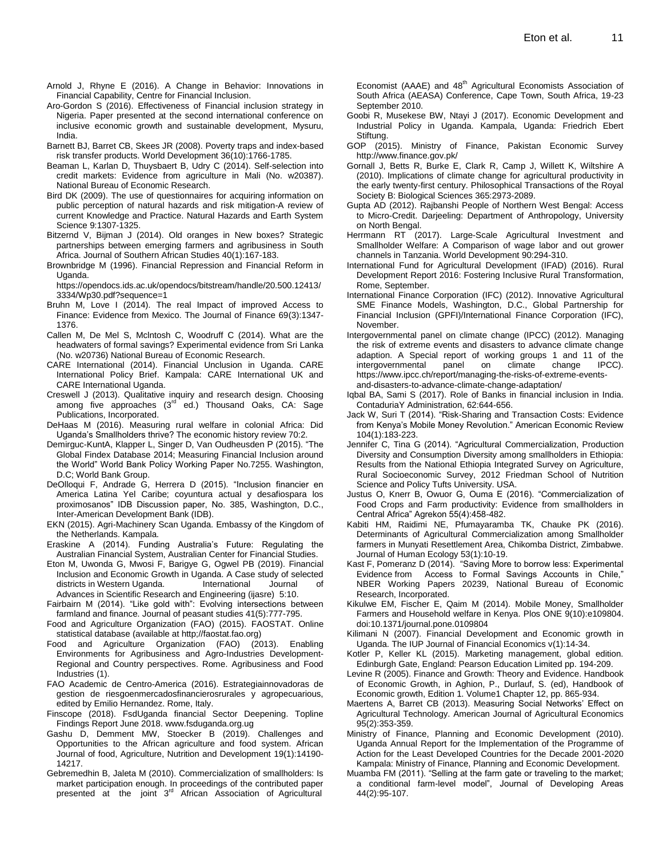- Arnold J, Rhyne E (2016). A Change in Behavior: Innovations in Financial Capability, Centre for Financial Inclusion.
- Aro-Gordon S (2016). Effectiveness of Financial inclusion strategy in Nigeria. Paper presented at the second international conference on inclusive economic growth and sustainable development, Mysuru, India.
- Barnett BJ, Barret CB, Skees JR (2008). Poverty traps and index-based risk transfer products. World Development 36(10):1766-1785.
- Beaman L, Karlan D, Thuysbaert B, Udry C (2014). Self-selection into credit markets: Evidence from agriculture in Mali (No. w20387). National Bureau of Economic Research.
- Bird DK (2009). The use of questionnaires for acquiring information on public perception of natural hazards and risk mitigation-A review of current Knowledge and Practice. Natural Hazards and Earth System Science 9:1307-1325.
- Bitzernd V, Bijman J (2014). Old oranges in New boxes? Strategic partnerships between emerging farmers and agribusiness in South Africa. Journal of Southern African Studies 40(1):167-183.
- Brownbridge M (1996). Financial Repression and Financial Reform in Uganda.

https://opendocs.ids.ac.uk/opendocs/bitstream/handle/20.500.12413/ 3334/Wp30.pdf?sequence=1

- Bruhn M, Love I (2014). The real Impact of improved Access to Finance: Evidence from Mexico. The Journal of Finance 69(3):1347- 1376.
- Callen M, De Mel S, Mclntosh C, Woodruff C (2014). What are the headwaters of formal savings? Experimental evidence from Sri Lanka (No. w20736) National Bureau of Economic Research.
- CARE International (2014). Financial Unclusion in Uganda. CARE International Policy Brief. Kampala: CARE International UK and CARE International Uganda.
- Creswell J (2013). Qualitative inquiry and research design. Choosing among five approaches (3<sup>rd ed.</sup>) Thousand Oaks, CA: Sage Publications, Incorporated.
- DeHaas M (2016). Measuring rural welfare in colonial Africa: Did Uganda"s Smallholders thrive? The economic history review 70:2.
- Demirguc-KuntA, Klapper L, Singer D, Van Oudheusden P (2015). "The Global Findex Database 2014; Measuring Financial Inclusion around the World" World Bank Policy Working Paper No.7255. Washington, D.C; World Bank Group.
- DeOlloqui F, Andrade G, Herrera D (2015). "Inclusion financier en America Latina Yel Caribe; coyuntura actual y desafiospara los proximosanos" IDB Discussion paper, No. 385, Washington, D.C., Inter-American Development Bank (IDB).
- EKN (2015). Agri-Machinery Scan Uganda. Embassy of the Kingdom of the Netherlands. Kampala.
- Eraskine A (2014). Funding Australia"s Future: Regulating the Australian Financial System, Australian Center for Financial Studies.
- Eton M, Uwonda G, Mwosi F, Barigye G, Ogwel PB (2019). Financial Inclusion and Economic Growth in Uganda. A Case study of selected districts in Western Uganda. International Journal of Advances in Scientific Research and Engineering (ijasre) 5:10.
- Fairbairn M (2014). "Like gold with": Evolving intersections between farmland and finance. Journal of peasant studies 41(5):777-795.
- Food and Agriculture Organization (FAO) (2015). FAOSTAT. Online statistical database (available at http;//faostat.fao.org)
- Food and Agriculture Organization (FAO) (2013). Enabling Environments for Agribusiness and Agro-Industries Development-Regional and Country perspectives. Rome. Agribusiness and Food Industries (1).
- FAO Academic de Centro-America (2016). Estrategiainnovadoras de gestion de riesgoenmercadosfinancierosrurales y agropecuarious, edited by Emilio Hernandez. Rome, Italy.
- Finscope (2018). FsdUganda financial Sector Deepening. Topline Findings Report June 2018. www.fsduganda.org.ug
- Gashu D, Demment MW, Stoecker B (2019). Challenges and Opportunities to the African agriculture and food system. African Journal of food, Agriculture, Nutrition and Development 19(1):14190- 14217.
- Gebremedhin B, Jaleta M (2010). Commercialization of smallholders: Is market participation enough. In proceedings of the contributed paper presented at the joint 3<sup>rd</sup> African Association of Agricultural

Economist (AAAE) and  $48<sup>th</sup>$  Agricultural Economists Association of South Africa (AEASA) Conference, Cape Town, South Africa, 19-23 September 2010.

- Goobi R, Musekese BW, Ntayi J (2017). Economic Development and Industrial Policy in Uganda. Kampala, Uganda: Friedrich Ebert Stiftung.
- GOP (2015). Ministry of Finance, Pakistan Economic Survey http://www.finance.gov.pk/
- Gornall J, Betts R, Burke E, Clark R, Camp J, Willett K, Wiltshire A (2010). Implications of climate change for agricultural productivity in the early twenty-first century. Philosophical Transactions of the Royal Society B: Biological Sciences 365:2973-2089.
- Gupta AD (2012). Rajbanshi People of Northern West Bengal: Access to Micro-Credit. Darjeeling: Department of Anthropology, University on North Bengal.
- Herrmann RT (2017). Large-Scale Agricultural Investment and Smallholder Welfare: A Comparison of wage labor and out grower channels in Tanzania. World Development 90:294-310.
- International Fund for Agricultural Development (IFAD) (2016). Rural Development Report 2016: Fostering Inclusive Rural Transformation, Rome, September.
- International Finance Corporation (IFC) (2012). Innovative Agricultural SME Finance Models, Washington, D.C., Global Partnership for Financial Inclusion (GPFI)/International Finance Corporation (IFC), November.
- Intergovernmental panel on climate change (IPCC) (2012). Managing the risk of extreme events and disasters to advance climate change adaption. A Special report of working groups 1 and 11 of the intergovernmental panel on climate change IPCC). https://www.ipcc.ch/report/managing-the-risks-of-extreme-eventsand-disasters-to-advance-climate-change-adaptation/
- Iqbal BA, Sami S (2017). Role of Banks in financial inclusion in India. ContaduriaY Administration, 62:644-656.
- Jack W, Suri T (2014). "Risk-Sharing and Transaction Costs: Evidence from Kenya"s Mobile Money Revolution." American Economic Review 104(1):183-223.
- Jennifer C, Tina G (2014). "Agricultural Commercialization, Production Diversity and Consumption Diversity among smallholders in Ethiopia: Results from the National Ethiopia Integrated Survey on Agriculture, Rural Socioeconomic Survey, 2012 Friedman School of Nutrition Science and Policy Tufts University. USA.
- Justus O, Knerr B, Owuor G, Ouma E (2016). "Commercialization of Food Crops and Farm productivity: Evidence from smallholders in Central Africa" Agrekon 55(4):458-482.
- Kabiti HM, Raidimi NE, Pfumayaramba TK, Chauke PK (2016). Determinants of Agricultural Commercialization among Smallholder farmers in Munyati Resettlement Area, Chikomba District, Zimbabwe. Journal of Human Ecology 53(1):10-19.
- Kast F, Pomeranz D (2014). "Saving More to borrow less: Experimental Evidence from Access to Formal Savings Accounts in Chile," NBER Working Papers 20239, National Bureau of Economic Research, Incorporated.
- Kikulwe EM, Fischer E, Qaim M (2014). Mobile Money, Smallholder Farmers and Household welfare in Kenya. Plos ONE 9(10):e109804. doi:10.1371/journal.pone.0109804
- Kilimani N (2007). Financial Development and Economic growth in Uganda. The IUP Journal of Financial Economics v(1):14-34.
- Kotler P, Keller KL (2015). Marketing management, global edition. Edinburgh Gate, England: Pearson Education Limited pp. 194-209.
- Levine R (2005). Finance and Growth: Theory and Evidence. Handbook of Economic Growth, in Aghion, P., Durlauf, S. (ed), Handbook of Economic growth, Edition 1. Volume1 Chapter 12, pp. 865-934.
- Maertens A, Barret CB (2013). Measuring Social Networks" Effect on Agricultural Technology. American Journal of Agricultural Economics 95(2):353-359.
- Ministry of Finance, Planning and Economic Development (2010). Uganda Annual Report for the Implementation of the Programme of Action for the Least Developed Countries for the Decade 2001-2020 Kampala: Ministry of Finance, Planning and Economic Development.
- Muamba FM (2011). "Selling at the farm gate or traveling to the market; a conditional farm-level model", Journal of Developing Areas 44(2):95-107.